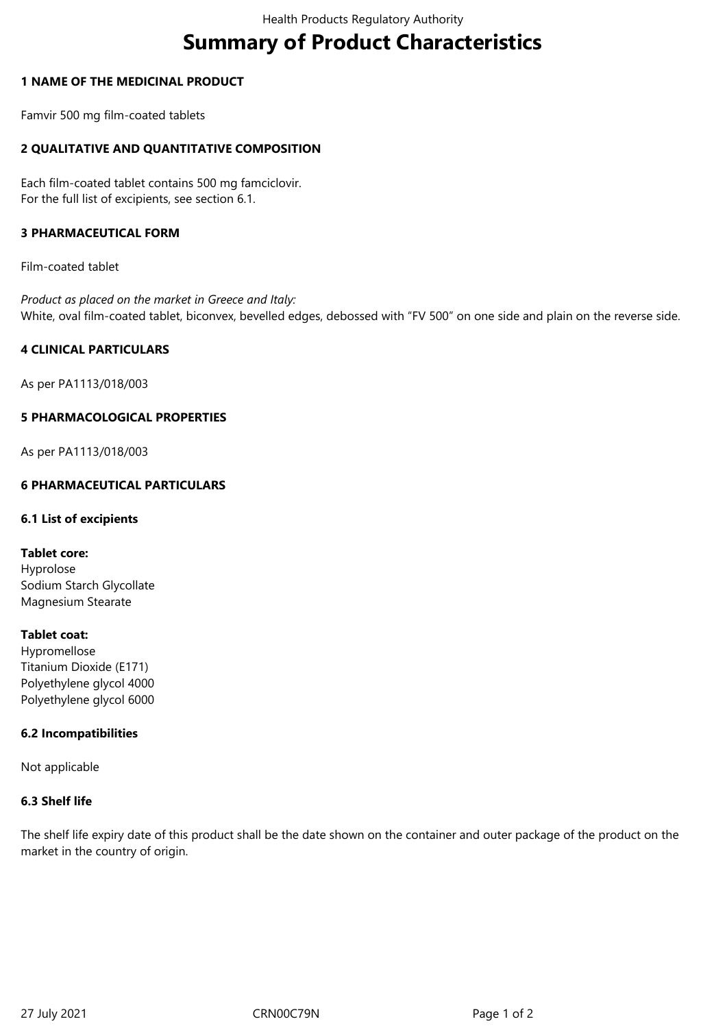# **Summary of Product Characteristics**

# **1 NAME OF THE MEDICINAL PRODUCT**

Famvir 500 mg film-coated tablets

# **2 QUALITATIVE AND QUANTITATIVE COMPOSITION**

Each film-coated tablet contains 500 mg famciclovir. For the full list of excipients, see section 6.1.

# **3 PHARMACEUTICAL FORM**

Film-coated tablet

*Product as placed on the market in Greece and Italy:* White, oval film-coated tablet, biconvex, bevelled edges, debossed with "FV 500" on one side and plain on the reverse side.

# **4 CLINICAL PARTICULARS**

As per PA1113/018/003

#### **5 PHARMACOLOGICAL PROPERTIES**

As per PA1113/018/003

# **6 PHARMACEUTICAL PARTICULARS**

#### **6.1 List of excipients**

#### **Tablet core:**

Hyprolose Sodium Starch Glycollate Magnesium Stearate

# **Tablet coat:**

Hypromellose Titanium Dioxide (E171) Polyethylene glycol 4000 Polyethylene glycol 6000

#### **6.2 Incompatibilities**

Not applicable

# **6.3 Shelf life**

The shelf life expiry date of this product shall be the date shown on the container and outer package of the product on the market in the country of origin.